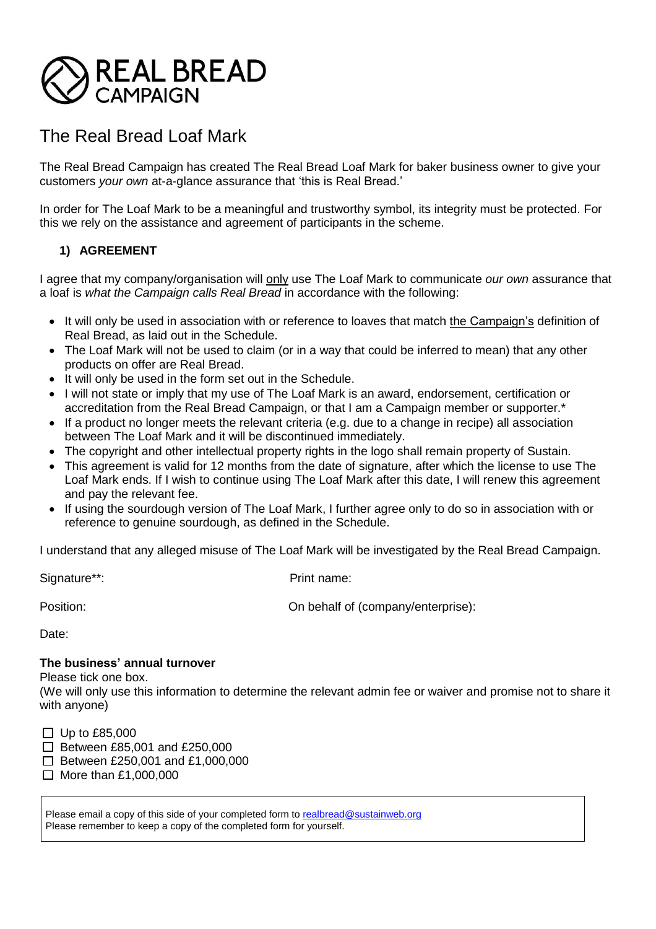

# The Real Bread Loaf Mark

The Real Bread Campaign has created The Real Bread Loaf Mark for baker business owner to give your customers *your own* at-a-glance assurance that 'this is Real Bread.'

In order for The Loaf Mark to be a meaningful and trustworthy symbol, its integrity must be protected. For this we rely on the assistance and agreement of participants in the scheme.

# **1) AGREEMENT**

I agree that my company/organisation will only use The Loaf Mark to communicate *our own* assurance that a loaf is *what the Campaign calls Real Bread* in accordance with the following:

- It will only be used in association with or reference to loaves that match the Campaign's definition of Real Bread, as laid out in the Schedule.
- The Loaf Mark will not be used to claim (or in a way that could be inferred to mean) that any other products on offer are Real Bread.
- It will only be used in the form set out in the Schedule.
- I will not state or imply that my use of The Loaf Mark is an award, endorsement, certification or accreditation from the Real Bread Campaign, or that I am a Campaign member or supporter.\*
- If a product no longer meets the relevant criteria (e.g. due to a change in recipe) all association between The Loaf Mark and it will be discontinued immediately.
- The copyright and other intellectual property rights in the logo shall remain property of Sustain.
- This agreement is valid for 12 months from the date of signature, after which the license to use The Loaf Mark ends. If I wish to continue using The Loaf Mark after this date, I will renew this agreement and pay the relevant fee.
- If using the sourdough version of The Loaf Mark, I further agree only to do so in association with or reference to genuine sourdough, as defined in the Schedule.

I understand that any alleged misuse of The Loaf Mark will be investigated by the Real Bread Campaign.

Signature\*\*: Print name:

Position:  $\blacksquare$  On behalf of (company/enterprise):

Date:

#### **The business' annual turnover**

Please tick one box.

(We will only use this information to determine the relevant admin fee or waiver and promise not to share it with anyone)

 $\Box$  Up to £85,000

 $\Box$  Between £85,001 and £250,000

 $\Box$  Between £250,001 and £1,000,000

 $\Box$  More than £1,000,000

Please email a copy of this side of your completed form to realbread@sustainweb.org Please remember to keep a copy of the completed form for yourself.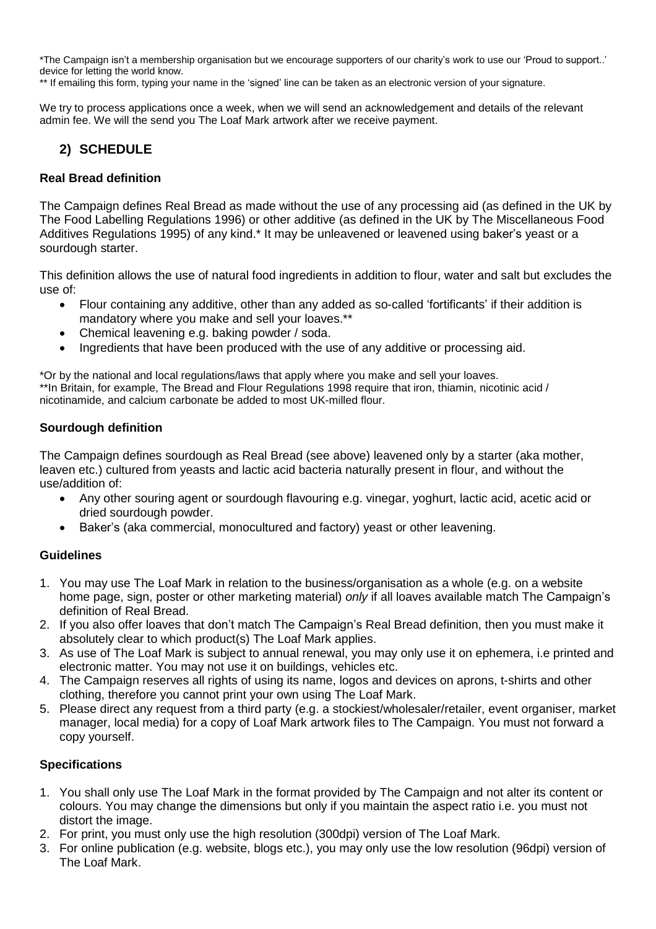\*The Campaign isn't a membership organisation but we encourage supporters of our charity's work to use our 'Proud to support..' device for letting the world know.

\*\* If emailing this form, typing your name in the 'signed' line can be taken as an electronic version of your signature.

We try to process applications once a week, when we will send an acknowledgement and details of the relevant admin fee. We will the send you The Loaf Mark artwork after we receive payment.

# **2) SCHEDULE**

## **Real Bread definition**

The Campaign defines Real Bread as made without the use of any processing aid (as defined in the UK by The Food Labelling Regulations 1996) or other additive (as defined in the UK by The Miscellaneous Food Additives Regulations 1995) of any kind.\* It may be unleavened or leavened using baker's yeast or a sourdough starter.

This definition allows the use of natural food ingredients in addition to flour, water and salt but excludes the use of:

- Flour containing any additive, other than any added as so-called 'fortificants' if their addition is mandatory where you make and sell your loaves.\*\*
- Chemical leavening e.g. baking powder / soda.
- Ingredients that have been produced with the use of any additive or processing aid.

\*Or by the national and local regulations/laws that apply where you make and sell your loaves. \*\*In Britain, for example, The Bread and Flour Regulations 1998 require that iron, thiamin, nicotinic acid / nicotinamide, and calcium carbonate be added to most UK-milled flour.

## **Sourdough definition**

The Campaign defines sourdough as Real Bread (see above) leavened only by a starter (aka mother, leaven etc.) cultured from yeasts and lactic acid bacteria naturally present in flour, and without the use/addition of:

- Any other souring agent or sourdough flavouring e.g. vinegar, yoghurt, lactic acid, acetic acid or dried sourdough powder.
- Baker's (aka commercial, monocultured and factory) yeast or other leavening.

#### **Guidelines**

- 1. You may use The Loaf Mark in relation to the business/organisation as a whole (e.g. on a website home page, sign, poster or other marketing material) *only* if all loaves available match The Campaign's definition of Real Bread.
- 2. If you also offer loaves that don't match The Campaign's Real Bread definition, then you must make it absolutely clear to which product(s) The Loaf Mark applies.
- 3. As use of The Loaf Mark is subject to annual renewal, you may only use it on ephemera, i.e printed and electronic matter. You may not use it on buildings, vehicles etc.
- 4. The Campaign reserves all rights of using its name, logos and devices on aprons, t-shirts and other clothing, therefore you cannot print your own using The Loaf Mark.
- 5. Please direct any request from a third party (e.g. a stockiest/wholesaler/retailer, event organiser, market manager, local media) for a copy of Loaf Mark artwork files to The Campaign. You must not forward a copy yourself.

#### **Specifications**

- 1. You shall only use The Loaf Mark in the format provided by The Campaign and not alter its content or colours. You may change the dimensions but only if you maintain the aspect ratio i.e. you must not distort the image.
- 2. For print, you must only use the high resolution (300dpi) version of The Loaf Mark.
- 3. For online publication (e.g. website, blogs etc.), you may only use the low resolution (96dpi) version of The Loaf Mark.